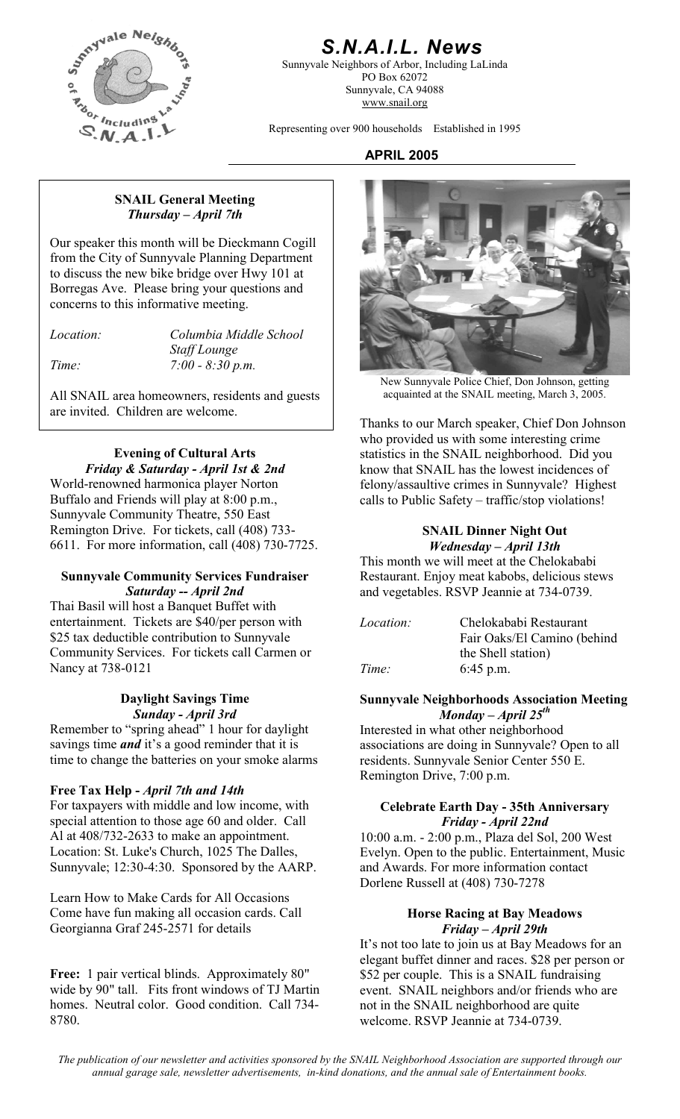

# *S.N.A.I.L. News*

Sunnyvale Neighbors of Arbor, Including LaLinda PO Box 62072 Sunnyvale, CA 94088 www.snail.org

Representing over 900 households Established in 1995

# **APRIL 2005**

#### **SNAIL General Meeting**  *Thursday – April 7th*

Our speaker this month will be Dieckmann Cogill from the City of Sunnyvale Planning Department to discuss the new bike bridge over Hwy 101 at Borregas Ave. Please bring your questions and concerns to this informative meeting.

*Location: Columbia Middle School Staff Lounge Time: 7:00 - 8:30 p.m.* 

All SNAIL area homeowners, residents and guests are invited. Children are welcome.

# **Evening of Cultural Arts**  *Friday & Saturday - April 1st & 2nd*

World-renowned harmonica player Norton Buffalo and Friends will play at 8:00 p.m., Sunnyvale Community Theatre, 550 East Remington Drive. For tickets, call (408) 733- 6611. For more information, call (408) 730-7725.

### **Sunnyvale Community Services Fundraiser**  *Saturday -- April 2nd*

Thai Basil will host a Banquet Buffet with entertainment. Tickets are \$40/per person with \$25 tax deductible contribution to Sunnyvale Community Services. For tickets call Carmen or Nancy at 738-0121

#### **Daylight Savings Time**  *Sunday - April 3rd*

Remember to "spring ahead" 1 hour for daylight savings time *and* it's a good reminder that it is time to change the batteries on your smoke alarms

# **Free Tax Help -** *April 7th and 14th*

For taxpayers with middle and low income, with special attention to those age 60 and older. Call Al at 408/732-2633 to make an appointment. Location: St. Luke's Church, 1025 The Dalles, Sunnyvale; 12:30-4:30. Sponsored by the AARP.

Learn How to Make Cards for All Occasions Come have fun making all occasion cards. Call Georgianna Graf 245-2571 for details

**Free:** 1 pair vertical blinds. Approximately 80" wide by 90" tall. Fits front windows of TJ Martin homes. Neutral color. Good condition. Call 734- 8780.



New Sunnyvale Police Chief, Don Johnson, getting acquainted at the SNAIL meeting, March 3, 2005.

Thanks to our March speaker, Chief Don Johnson who provided us with some interesting crime statistics in the SNAIL neighborhood. Did you know that SNAIL has the lowest incidences of felony/assaultive crimes in Sunnyvale? Highest calls to Public Safety – traffic/stop violations!

# **SNAIL Dinner Night Out**  *Wednesday – April 13th*

This month we will meet at the Chelokababi Restaurant. Enjoy meat kabobs, delicious stews and vegetables. RSVP Jeannie at 734-0739.

| <i>Location:</i> | Chelokababi Restaurant      |
|------------------|-----------------------------|
|                  | Fair Oaks/El Camino (behind |
|                  | the Shell station)          |
| Time:            | $6:45$ p.m.                 |

# **Sunnyvale Neighborhoods Association Meeting**  *Monday – April 25th*

Interested in what other neighborhood associations are doing in Sunnyvale? Open to all residents. Sunnyvale Senior Center 550 E. Remington Drive, 7:00 p.m.

# **Celebrate Earth Day - 35th Anniversary**  *Friday - April 22nd*

10:00 a.m. - 2:00 p.m., Plaza del Sol, 200 West Evelyn. Open to the public. Entertainment, Music and Awards. For more information contact Dorlene Russell at (408) 730-7278

#### **Horse Racing at Bay Meadows**  *Friday – April 29th*

It's not too late to join us at Bay Meadows for an elegant buffet dinner and races. \$28 per person or \$52 per couple. This is a SNAIL fundraising event. SNAIL neighbors and/or friends who are not in the SNAIL neighborhood are quite welcome. RSVP Jeannie at 734-0739.

*The publication of our newsletter and activities sponsored by the SNAIL Neighborhood Association are supported through our annual garage sale, newsletter advertisements, in-kind donations, and the annual sale of Entertainment books.*